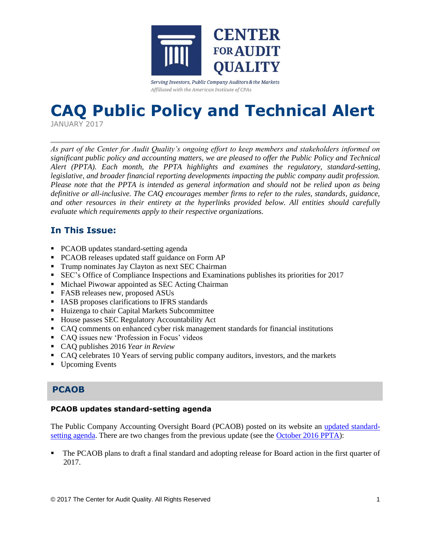

Serving Investors, Public Company Auditors & the Markets Affiliated with the American Institute of CPAs

# **CAQ Public Policy and Technical Alert**

JANUARY 2017

*As part of the Center for Audit Quality's ongoing effort to keep members and stakeholders informed on significant public policy and accounting matters, we are pleased to offer the Public Policy and Technical Alert (PPTA). Each month, the PPTA highlights and examines the regulatory, standard-setting, legislative, and broader financial reporting developments impacting the public company audit profession. Please note that the PPTA is intended as general information and should not be relied upon as being definitive or all-inclusive. The CAQ encourages member firms to refer to the rules, standards, guidance, and other resources in their entirety at the hyperlinks provided below. All entities should carefully evaluate which requirements apply to their respective organizations.*

# **In This Issue:**

- PCAOB updates standard-setting agenda
- PCAOB releases updated staff guidance on Form AP
- Trump nominates Jay Clayton as next SEC Chairman
- SEC's Office of Compliance Inspections and Examinations publishes its priorities for 2017
- **Michael Piwowar appointed as SEC Acting Chairman**
- FASB releases new, proposed ASUs
- IASB proposes clarifications to IFRS standards
- **Huizenga to chair Capital Markets Subcommittee**
- **House passes SEC Regulatory Accountability Act**
- CAQ comments on enhanced cyber risk management standards for financial institutions
- CAQ issues new 'Profession in Focus' videos
- CAQ publishes 2016 *Year in Review*
- CAQ celebrates 10 Years of serving public company auditors, investors, and the markets
- Upcoming Events

# **PCAOB**

# **PCAOB updates standard-setting agenda**

The Public Company Accounting Oversight Board (PCAOB) posted on its website an [updated standard](https://pcaobus.org/Standards/Documents/Q42016-standard-setting-update.pdf)[setting agenda.](https://pcaobus.org/Standards/Documents/Q42016-standard-setting-update.pdf) There are two changes from the previous update (see the [October 2016 PPTA\)](http://www.thecaq.org/caq-public-policy-and-technical-alert-october-2016):

 The PCAOB plans to draft a final standard and adopting release for Board action in the first quarter of 2017.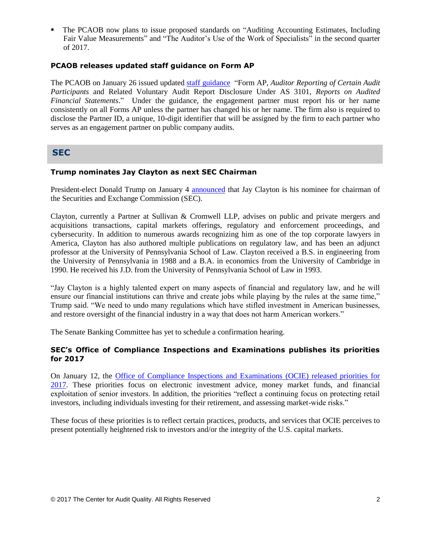The PCAOB now plans to issue proposed standards on "Auditing Accounting Estimates, Including Fair Value Measurements" and "The Auditor's Use of the Work of Specialists" in the second quarter of 2017.

# **PCAOB releases updated staff guidance on Form AP**

The PCAOB on January 26 issued updated [staff guidance](http://caq.informz.net/z/cjUucD9taT02MjQ1OTg0JnA9MSZ1PTEwNzgwNzMxNTkmbGk9NDA3MzI2MjQ/index.html) "Form AP*, Auditor Reporting of Certain Audit Participants* and Related Voluntary Audit Report Disclosure Under AS 3101, *Reports on Audited Financial Statements*." Under the guidance, the engagement partner must report his or her name consistently on all Forms AP unless the partner has changed his or her name. The firm also is required to disclose the Partner ID, a unique, 10-digit identifier that will be assigned by the firm to each partner who serves as an engagement partner on public company audits.

# **SEC**

## **Trump nominates Jay Clayton as next SEC Chairman**

President-elect Donald Trump on January 4 [announced](https://greatagain.gov/sec-a8dde99d867d#.rzn2kaeu9) that Jay Clayton is his nominee for chairman of the Securities and Exchange Commission (SEC).

Clayton, currently a Partner at Sullivan & Cromwell LLP, advises on public and private mergers and acquisitions transactions, capital markets offerings, regulatory and enforcement proceedings, and cybersecurity. In addition to numerous awards recognizing him as one of the top corporate lawyers in America, Clayton has also authored multiple publications on regulatory law, and has been an adjunct professor at the University of Pennsylvania School of Law. Clayton received a B.S. in engineering from the University of Pennsylvania in 1988 and a B.A. in economics from the University of Cambridge in 1990. He received his J.D. from the University of Pennsylvania School of Law in 1993.

"Jay Clayton is a highly talented expert on many aspects of financial and regulatory law, and he will ensure our financial institutions can thrive and create jobs while playing by the rules at the same time," Trump said. "We need to undo many regulations which have stifled investment in American businesses, and restore oversight of the financial industry in a way that does not harm American workers."

The Senate Banking Committee has yet to schedule a confirmation hearing.

# **SEC's Office of Compliance Inspections and Examinations publishes its priorities for 2017**

On January 12, the [Office of Compliance Inspections and Examinations \(OCIE\) released priorities for](https://www.sec.gov/about/offices/ocie/national-examination-program-priorities-2017.pdf)  [2017.](https://www.sec.gov/about/offices/ocie/national-examination-program-priorities-2017.pdf) These priorities focus on electronic investment advice, money market funds, and financial exploitation of senior investors. In addition, the priorities "reflect a continuing focus on protecting retail investors, including individuals investing for their retirement, and assessing market-wide risks."

These focus of these priorities is to reflect certain practices, products, and services that OCIE perceives to present potentially heightened risk to investors and/or the integrity of the U.S. capital markets.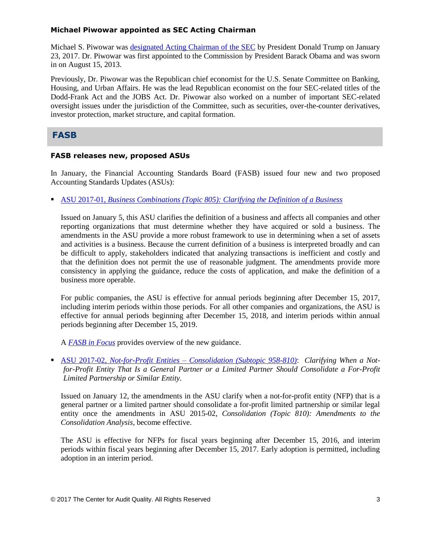# **Michael Piwowar appointed as SEC Acting Chairman**

Michael S. Piwowar was [designated Acting Chairman of the](https://www.sec.gov/about/commissioner/piwowar.htm) SEC by President Donald Trump on January 23, 2017. Dr. Piwowar was first appointed to the Commission by President Barack Obama and was sworn in on August 15, 2013.

Previously, Dr. Piwowar was the Republican chief economist for the U.S. Senate Committee on Banking, Housing, and Urban Affairs. He was the lead Republican economist on the four SEC-related titles of the Dodd-Frank Act and the JOBS Act. Dr. Piwowar also worked on a number of important SEC-related oversight issues under the jurisdiction of the Committee, such as securities, over-the-counter derivatives, investor protection, market structure, and capital formation.

# **FASB**

# **FASB releases new, proposed ASUs**

In January, the Financial Accounting Standards Board (FASB) issued four new and two proposed Accounting Standards Updates (ASUs):

ASU 2017-01, *[Business Combinations \(Topic 805\): Clarifying the Definition of a Business](http://fasb.org/jsp/FASB/Document_C/DocumentPage?cid=1176168739996&acceptedDisclaimer=true)*

Issued on January 5, this ASU clarifies the definition of a business and affects all companies and other reporting organizations that must determine whether they have acquired or sold a business. The amendments in the ASU provide a more robust framework to use in determining when a set of assets and activities is a business. Because the current definition of a business is interpreted broadly and can be difficult to apply, stakeholders indicated that analyzing transactions is inefficient and costly and that the definition does not permit the use of reasonable judgment. The amendments provide more consistency in applying the guidance, reduce the costs of application, and make the definition of a business more operable.

For public companies, the ASU is effective for annual periods beginning after December 15, 2017, including interim periods within those periods. For all other companies and organizations, the ASU is effective for annual periods beginning after December 15, 2018, and interim periods within annual periods beginning after December 15, 2019.

A *[FASB in Focus](http://www.fasb.org/cs/ContentServer?c=Document_C&pagename=FASB%2FDocument_C%2FDocumentPage&cid=1176168740295)* provides overview of the new guidance.

 ASU 2017-02, *Not-for-Profit Entities – [Consolidation \(Subtopic 958-810\)](http://www.fasb.org/jsp/FASB/Document_C/DocumentPage?cid=1176168759619&acceptedDisclaimer=true)*: *Clarifying When a Notfor-Profit Entity That Is a General Partner or a Limited Partner Should Consolidate a For-Profit Limited Partnership or Similar Entity.*

Issued on January 12, the amendments in the ASU clarify when a not-for-profit entity (NFP) that is a general partner or a limited partner should consolidate a for-profit limited partnership or similar legal entity once the amendments in ASU 2015-02, *Consolidation (Topic 810): Amendments to the Consolidation Analysis*, become effective.

The ASU is effective for NFPs for fiscal years beginning after December 15, 2016, and interim periods within fiscal years beginning after December 15, 2017. Early adoption is permitted, including adoption in an interim period.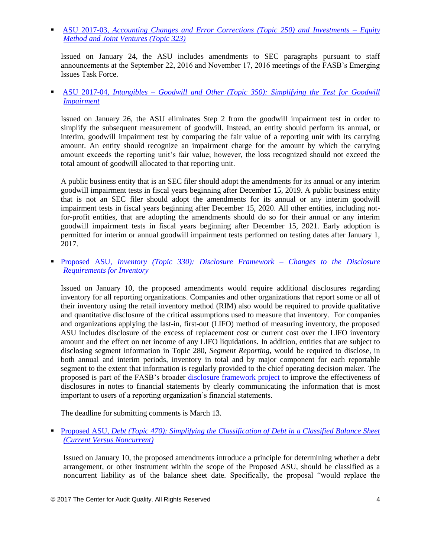ASU 2017-03, *[Accounting Changes and Error Corrections \(Topic 250\) and Investments –](http://fasb.org/jsp/FASB/Document_C/DocumentPage?cid=1176168773466&acceptedDisclaimer=true) Equity [Method and Joint Ventures \(Topic 323\)](http://fasb.org/jsp/FASB/Document_C/DocumentPage?cid=1176168773466&acceptedDisclaimer=true)*

Issued on January 24, the ASU includes amendments to SEC paragraphs pursuant to staff announcements at the September 22, 2016 and November 17, 2016 meetings of the FASB's Emerging Issues Task Force.

 ASU 2017-04, *Intangibles – [Goodwill and Other \(Topic 350\): Simplifying the Test for Goodwill](http://www.fasb.org/jsp/FASB/Document_C/DocumentPage?cid=1176168778106&acceptedDisclaimer=true)  [Impairment](http://www.fasb.org/jsp/FASB/Document_C/DocumentPage?cid=1176168778106&acceptedDisclaimer=true)*

Issued on January 26, the ASU eliminates Step 2 from the goodwill impairment test in order to simplify the subsequent measurement of goodwill. Instead, an entity should perform its annual, or interim, goodwill impairment test by comparing the fair value of a reporting unit with its carrying amount. An entity should recognize an impairment charge for the amount by which the carrying amount exceeds the reporting unit's fair value; however, the loss recognized should not exceed the total amount of goodwill allocated to that reporting unit.

A public business entity that is an SEC filer should adopt the amendments for its annual or any interim goodwill impairment tests in fiscal years beginning after December 15, 2019. A public business entity that is not an SEC filer should adopt the amendments for its annual or any interim goodwill impairment tests in fiscal years beginning after December 15, 2020. All other entities, including notfor-profit entities, that are adopting the amendments should do so for their annual or any interim goodwill impairment tests in fiscal years beginning after December 15, 2021. Early adoption is permitted for interim or annual goodwill impairment tests performed on testing dates after January 1, 2017.

 Proposed ASU, *[Inventory \(Topic 330\): Disclosure Framework –](http://fasb.org/jsp/FASB/Document_C/DocumentPage?cid=1176168748657&acceptedDisclaimer=true) Changes to the Disclosure [Requirements for Inventory](http://fasb.org/jsp/FASB/Document_C/DocumentPage?cid=1176168748657&acceptedDisclaimer=true)*

Issued on January 10, the proposed amendments would require additional disclosures regarding inventory for all reporting organizations. Companies and other organizations that report some or all of their inventory using the retail inventory method (RIM) also would be required to provide qualitative and quantitative disclosure of the critical assumptions used to measure that inventory. For companies and organizations applying the last-in, first-out (LIFO) method of measuring inventory, the proposed ASU includes disclosure of the excess of replacement cost or current cost over the LIFO inventory amount and the effect on net income of any LIFO liquidations. In addition, entities that are subject to disclosing segment information in Topic 280, *Segment Reporting*, would be required to disclose, in both annual and interim periods, inventory in total and by major component for each reportable segment to the extent that information is regularly provided to the chief operating decision maker. The proposed is part of the FASB's broader [disclosure framework project](http://www.fasb.org/cs/ContentServer?c=Page&pagename=FASB%2FPage%2FBridgePage&cid=1176163875549) to improve the effectiveness of disclosures in notes to financial statements by clearly communicating the information that is most important to users of a reporting organization's financial statements.

The deadline for submitting comments is March 13.

Proposed ASU, *Debt (Topic 470): Simplifying the Classification of Debt in a Classified Balance Sheet [\(Current Versus Noncurrent\)](http://fasb.org/jsp/FASB/Document_C/DocumentPage?cid=1176168748705&acceptedDisclaimer=true)*

Issued on January 10, the proposed amendments introduce a principle for determining whether a debt arrangement, or other instrument within the scope of the Proposed ASU, should be classified as a noncurrent liability as of the balance sheet date. Specifically, the proposal "would replace the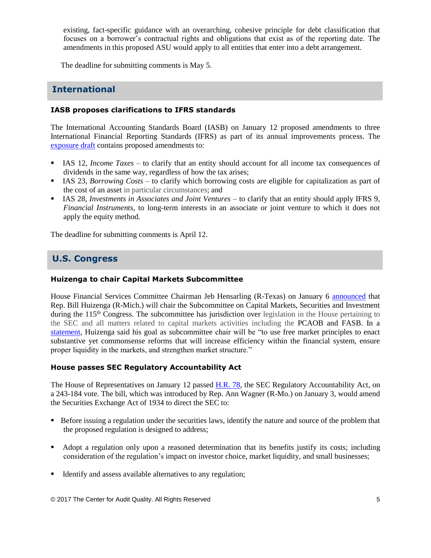existing, fact-specific guidance with an overarching, cohesive principle for debt classification that focuses on a borrower's contractual rights and obligations that exist as of the reporting date. The amendments in this proposed ASU would apply to all entities that enter into a debt arrangement.

The deadline for submitting comments is May 5.

# **International**

# **IASB proposes clarifications to IFRS standards**

The International Accounting Standards Board (IASB) on January 12 proposed amendments to three International Financial Reporting Standards (IFRS) as part of its annual improvements process. The [exposure draft](http://www.ifrs.org/Current-Projects/IASB-Projects/Annual-Improvements/Documents/ED-Annual-Improvements-2015-2017.pdf) contains proposed amendments to:

- IAS 12, *Income Taxes* to clarify that an entity should account for all income tax consequences of dividends in the same way, regardless of how the tax arises;
- IAS 23, *Borrowing Costs* to clarify which borrowing costs are eligible for capitalization as part of the cost of an asset in particular circumstances; and
- IAS 28, *Investments in Associates and Joint Ventures* to clarify that an entity should apply IFRS 9, *Financial Instruments*, to long-term interests in an associate or joint venture to which it does not apply the equity method.

The deadline for submitting comments is April 12.

# **U.S. Congress**

# **Huizenga to chair Capital Markets Subcommittee**

House Financial Services Committee Chairman Jeb Hensarling (R-Texas) on January 6 [announced](http://financialservices.house.gov/news/documentsingle.aspx?DocumentID=401336) that Rep. Bill Huizenga (R-Mich.) will chair the Subcommittee on Capital Markets, Securities and Investment during the 115<sup>th</sup> Congress. The subcommittee has jurisdiction over legislation in the House pertaining to the SEC and all matters related to capital markets activities including the PCAOB and FASB. In a [statement,](http://huizenga.house.gov/news/documentsingle.aspx?DocumentID=398375) Huizenga said his goal as subcommittee chair will be "to use free market principles to enact substantive yet commonsense reforms that will increase efficiency within the financial system, ensure proper liquidity in the markets, and strengthen market structure."

## **House passes SEC Regulatory Accountability Act**

The House of Representatives on January 12 passed [H.R. 78,](https://www.congress.gov/bill/115th-congress/house-bill/78) the SEC Regulatory Accountability Act, on a 243-184 vote. The bill, which was introduced by Rep. Ann Wagner (R-Mo.) on January 3, would amend the Securities Exchange Act of 1934 to direct the SEC to:

- Before issuing a regulation under the securities laws, identify the nature and source of the problem that the proposed regulation is designed to address;
- Adopt a regulation only upon a reasoned determination that its benefits justify its costs; including consideration of the regulation's impact on investor choice, market liquidity, and small businesses;
- Identify and assess available alternatives to any regulation;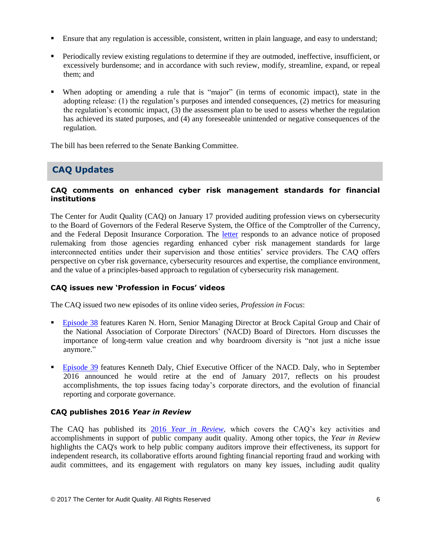- Ensure that any regulation is accessible, consistent, written in plain language, and easy to understand;
- Periodically review existing regulations to determine if they are outmoded, ineffective, insufficient, or excessively burdensome; and in accordance with such review, modify, streamline, expand, or repeal them; and
- When adopting or amending a rule that is "major" (in terms of economic impact), state in the adopting release: (1) the regulation's purposes and intended consequences, (2) metrics for measuring the regulation's economic impact, (3) the assessment plan to be used to assess whether the regulation has achieved its stated purposes, and (4) any foreseeable unintended or negative consequences of the regulation.

The bill has been referred to the Senate Banking Committee.

# **CAQ Updates**

# **CAQ comments on enhanced cyber risk management standards for financial institutions**

The Center for Audit Quality (CAQ) on January 17 provided auditing profession views on cybersecurity to the Board of Governors of the Federal Reserve System, the Office of the Comptroller of the Currency, and the Federal Deposit Insurance Corporation. The [letter](http://www.thecaq.org/federal-reserve-occ-fdic-enhanced-cyber-risk-management-standards-joint-advance-notice-proposed) responds to an advance notice of proposed rulemaking from those agencies regarding enhanced cyber risk management standards for large interconnected entities under their supervision and those entities' service providers. The CAQ offers perspective on cyber risk governance, cybersecurity resources and expertise, the compliance environment, and the value of a principles-based approach to regulation of cybersecurity risk management.

# **CAQ issues new 'Profession in Focus' videos**

The CAQ issued two new episodes of its online video series, *Profession in Focus*:

- [Episode 38](https://www.youtube.com/watch?v=4d-4EQ2ZqA4&feature=youtu.be) features Karen N. Horn, Senior Managing Director at Brock Capital Group and Chair of the National Association of Corporate Directors' (NACD) Board of Directors. Horn discusses the importance of long-term value creation and why boardroom diversity is "not just a niche issue anymore."
- [Episode 39](https://www.youtube.com/watch?v=2HtP1t5r08g) features Kenneth Daly, Chief Executive Officer of the NACD. Daly, who in September 2016 announced he would retire at the end of January 2017, reflects on his proudest accomplishments, the top issues facing today's corporate directors, and the evolution of financial reporting and corporate governance.

## **CAQ publishes 2016** *Year in Review*

The CAQ has published its 2016 *[Year in Review](http://www.thecaq.org/caq-year-review-2016)*, which covers the CAQ's key activities and accomplishments in support of public company audit quality. Among other topics, the *Year in Review* highlights the CAQ's work to help public company auditors improve their effectiveness, its support for independent research, its collaborative efforts around fighting financial reporting fraud and working with audit committees, and its engagement with regulators on many key issues, including audit quality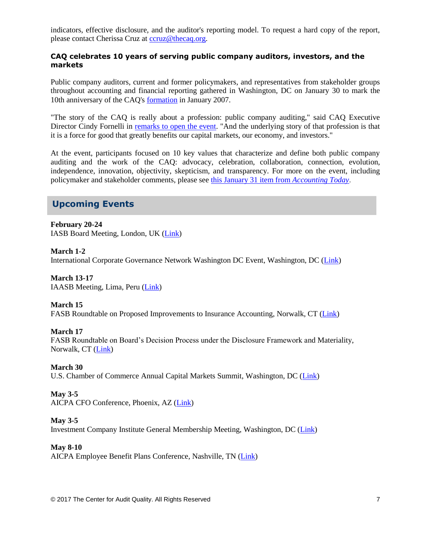indicators, effective disclosure, and the auditor's reporting model. To request a hard copy of the report, please contact Cherissa Cruz at [ccruz@thecaq.org.](mailto:ccruz@thecaq.org)

## **CAQ celebrates 10 years of serving public company auditors, investors, and the markets**

Public company auditors, current and former policymakers, and representatives from stakeholder groups throughout accounting and financial reporting gathered in Washington, DC on January 30 to mark the 10th anniversary of the CAQ's [formation](http://www.thecaq.org/center-audit-quality-formed-foster-confidence-capital-markets-time-growing-globalization-and) in January 2007.

"The story of the CAQ is really about a profession: public company auditing," said CAQ Executive Director Cindy Fornelli in [remarks to open the event.](http://thecaq.org/welcome-remarks-commemorating-10-years-caq) "And the underlying story of that profession is that it is a force for good that greatly benefits our capital markets, our economy, and investors."

At the event, participants focused on 10 key values that characterize and define both public company auditing and the work of the CAQ: advocacy, celebration, collaboration, connection, evolution, independence, innovation, objectivity, skepticism, and transparency. For more on the event, including policymaker and stakeholder comments, please see [this January 31 item from](http://www.accountingtoday.com/news/caq-celebrates-10th-anniversary-with-accounting-all-stars-in-washington) *Accounting Today*.

# **Upcoming Events**

**February 20-24** IASB Board Meeting, London, UK [\(Link\)](http://www.ifrs.org/Meetings/Pages/IASB-Meeting-February-2017.aspx)

**March 1-2** International Corporate Governance Network Washington DC Event, Washington, DC [\(Link\)](https://www.icgn.org/events/icgn-washington-dc-event)

**March 13-17** IAASB Meeting, Lima, Peru [\(Link\)](http://www.iaasb.org/meetings/lima-peru)

**March 15** FASB Roundtable on Proposed Improvements to Insurance Accounting, Norwalk, CT [\(Link\)](http://www.fasb.org/jsp/FASB/Page/SectionPage&cid=1218220079452)

**March 17** FASB Roundtable on Board's Decision Process under the Disclosure Framework and Materiality, Norwalk, CT [\(Link\)](http://www.fasb.org/jsp/FASB/Page/SectionPage&cid=1218220079452)

**March 30** U.S. Chamber of Commerce Annual Capital Markets Summit, Washington, DC [\(Link\)](http://www.centerforcapitalmarkets.com/event/11th-annual-capital-markets-summit/)

**May 3-5** AICPA CFO Conference, Phoenix, AZ [\(Link\)](http://www.aicpastore.com/AST/Main/CPA2BIZ_Primary/Accounting/PRDOVR~PC-CFO/PC-CFO.jsp)

## **May 3-5**

Investment Company Institute General Membership Meeting, Washington, DC [\(Link\)](https://www.ici.org/events)

#### **May 8-10**

AICPA Employee Benefit Plans Conference, Nashville, TN [\(Link\)](http://www.aicpastore.com/EmployeeBenefitPlans/aicpa-employee-benefit-plans-conference/PRDOVR~PC-EMPBEN/PC-EMPBEN.jsp)

© 2017 The Center for Audit Quality. All Rights Reserved 7